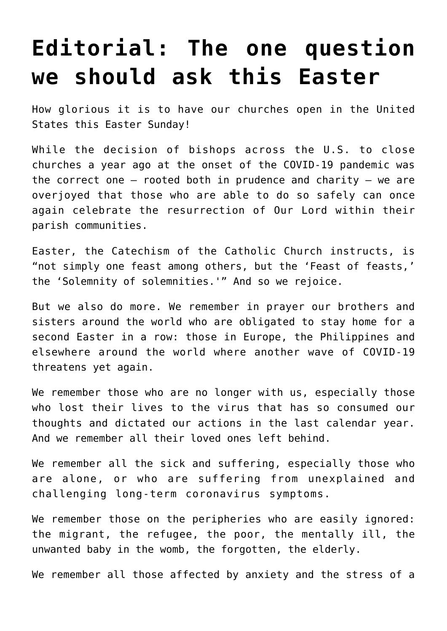## **[Editorial: The one question](https://www.osvnews.com/2021/03/23/editorial-the-one-question-we-should-ask-this-easter/) [we should ask this Easter](https://www.osvnews.com/2021/03/23/editorial-the-one-question-we-should-ask-this-easter/)**

How glorious it is to have our churches open in the United States this Easter Sunday!

While the decision of bishops across the U.S. to close churches a year ago at the onset of the COVID-19 pandemic was the correct one  $-$  rooted both in prudence and charity  $-$  we are overjoyed that those who are able to do so safely can once again celebrate the resurrection of Our Lord within their parish communities.

Easter, the Catechism of the Catholic Church instructs, is "not simply one feast among others, but the 'Feast of feasts,' the 'Solemnity of solemnities.'" And so we rejoice.

But we also do more. We remember in prayer our brothers and sisters around the world who are obligated to stay home for a second Easter in a row: those in Europe, the Philippines and elsewhere around the world where another wave of COVID-19 threatens yet again.

We remember those who are no longer with us, especially those who lost their lives to the virus that has so consumed our thoughts and dictated our actions in the last calendar year. And we remember all their loved ones left behind.

We remember all the sick and suffering, especially those who are alone, or who are suffering from unexplained and challenging long-term coronavirus symptoms.

We remember those on the peripheries who are easily ignored: the migrant, the refugee, the poor, the mentally ill, the unwanted baby in the womb, the forgotten, the elderly.

We remember all those affected by anxiety and the stress of a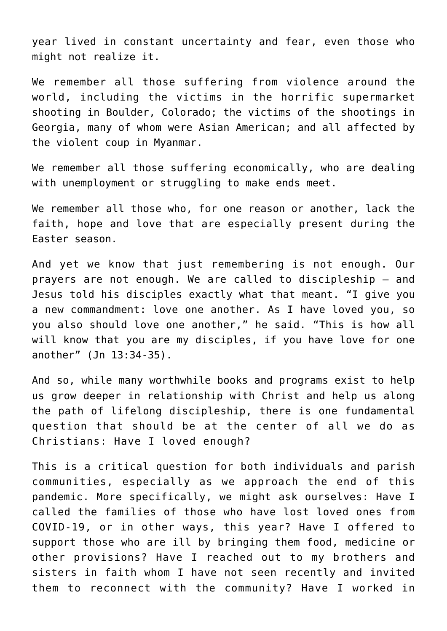year lived in constant uncertainty and fear, even those who might not realize it.

We remember all those suffering from violence around the world, including the victims in the horrific supermarket shooting in Boulder, Colorado; the victims of the shootings in Georgia, many of whom were Asian American; and all affected by the violent coup in Myanmar.

We remember all those suffering economically, who are dealing with unemployment or struggling to make ends meet.

We remember all those who, for one reason or another, lack the faith, hope and love that are especially present during the Easter season.

And yet we know that just remembering is not enough. Our prayers are not enough. We are called to discipleship — and Jesus told his disciples exactly what that meant. "I give you a new commandment: love one another. As I have loved you, so you also should love one another," he said. "This is how all will know that you are my disciples, if you have love for one another" (Jn 13:34-35).

And so, while many worthwhile books and programs exist to help us grow deeper in relationship with Christ and help us along the path of lifelong discipleship, there is one fundamental question that should be at the center of all we do as Christians: Have I loved enough?

This is a critical question for both individuals and parish communities, especially as we approach the end of this pandemic. More specifically, we might ask ourselves: Have I called the families of those who have lost loved ones from COVID-19, or in other ways, this year? Have I offered to support those who are ill by bringing them food, medicine or other provisions? Have I reached out to my brothers and sisters in faith whom I have not seen recently and invited them to reconnect with the community? Have I worked in